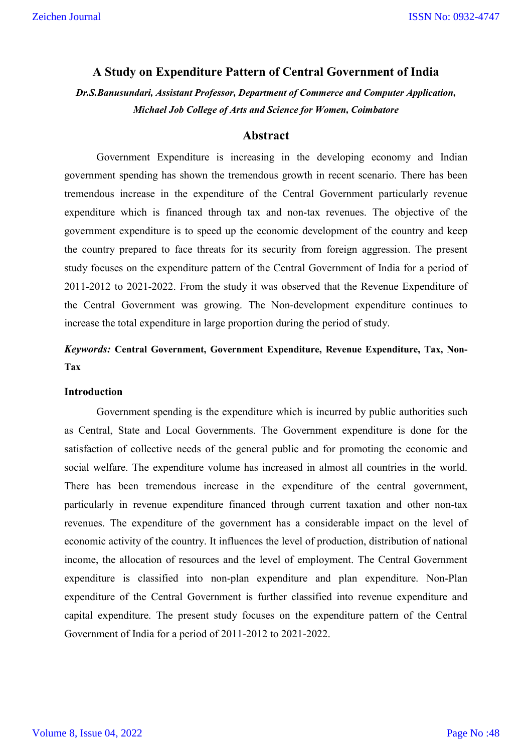### **A Study on Expenditure Pattern of Central Government of India**

*Dr.S.Banusundari, Assistant Professor, Department of Commerce and Computer Application, Michael Job College of Arts and Science for Women, Coimbatore*

#### **Abstract**

Government Expenditure is increasing in the developing economy and Indian government spending has shown the tremendous growth in recent scenario. There has been tremendous increase in the expenditure of the Central Government particularly revenue expenditure which is financed through tax and non-tax revenues. The objective of the government expenditure is to speed up the economic development of the country and keep the country prepared to face threats for its security from foreign aggression. The present study focuses on the expenditure pattern of the Central Government of India for a period of 2011-2012 to 2021-2022. From the study it was observed that the Revenue Expenditure of the Central Government was growing. The Non-development expenditure continues to increase the total expenditure in large proportion during the period of study.

*Keywords:* **Central Government, Government Expenditure, Revenue Expenditure, Tax, Non-Tax**

#### **Introduction**

Government spending is the expenditure which is incurred by public authorities such as Central, State and Local Governments. The Government expenditure is done for the satisfaction of collective needs of the general public and for promoting the economic and social welfare. The expenditure volume has increased in almost all countries in the world. There has been tremendous increase in the expenditure of the central government, particularly in revenue expenditure financed through current taxation and other non-tax revenues. The expenditure of the government has a considerable impact on the level of economic activity of the country. It influences the level of production, distribution of national income, the allocation of resources and the level of employment. The Central Government expenditure is classified into non-plan expenditure and plan expenditure. Non-Plan expenditure of the Central Government is further classified into revenue expenditure and capital expenditure. The present study focuses on the expenditure pattern of the Central Government of India for a period of 2011-2012 to 2021-2022.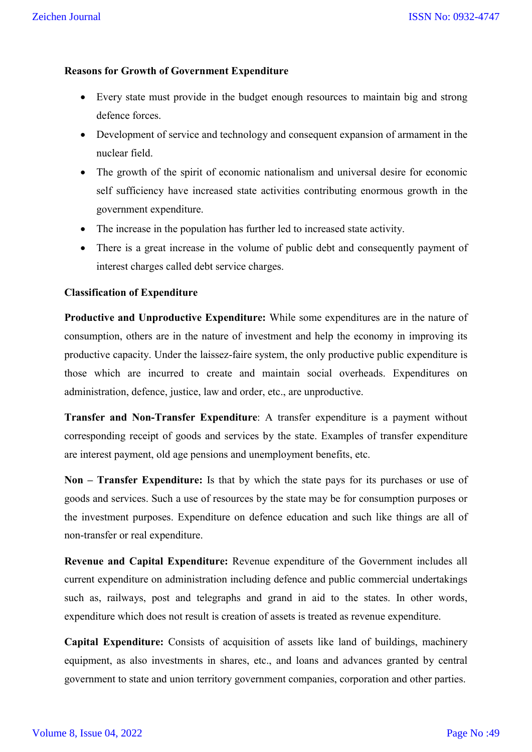## **Reasons for Growth of Government Expenditure**

- Every state must provide in the budget enough resources to maintain big and strong defence forces.
- Development of service and technology and consequent expansion of armament in the nuclear field.
- The growth of the spirit of economic nationalism and universal desire for economic self sufficiency have increased state activities contributing enormous growth in the government expenditure.
- The increase in the population has further led to increased state activity.
- There is a great increase in the volume of public debt and consequently payment of interest charges called debt service charges.

#### **Classification of Expenditure**

**Productive and Unproductive Expenditure:** While some expenditures are in the nature of consumption, others are in the nature of investment and help the economy in improving its productive capacity. Under the laissez-faire system, the only productive public expenditure is those which are incurred to create and maintain social overheads. Expenditures on administration, defence, justice, law and order, etc., are unproductive.

**Transfer and Non-Transfer Expenditure**: A transfer expenditure is a payment without corresponding receipt of goods and services by the state. Examples of transfer expenditure are interest payment, old age pensions and unemployment benefits, etc.

**Non – Transfer Expenditure:** Is that by which the state pays for its purchases or use of goods and services. Such a use of resources by the state may be for consumption purposes or the investment purposes. Expenditure on defence education and such like things are all of non-transfer or real expenditure.

**Revenue and Capital Expenditure:** Revenue expenditure of the Government includes all current expenditure on administration including defence and public commercial undertakings such as, railways, post and telegraphs and grand in aid to the states. In other words, expenditure which does not result is creation of assets is treated as revenue expenditure.

**Capital Expenditure:** Consists of acquisition of assets like land of buildings, machinery equipment, as also investments in shares, etc., and loans and advances granted by central government to state and union territory government companies, corporation and other parties.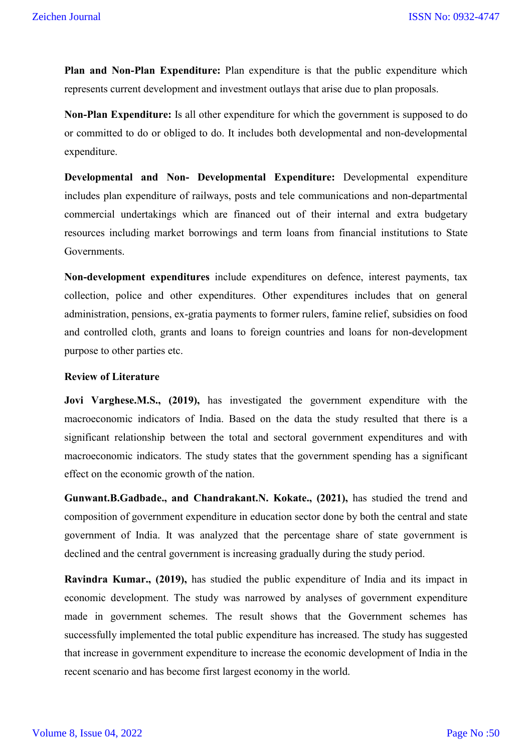**Plan and Non-Plan Expenditure:** Plan expenditure is that the public expenditure which represents current development and investment outlays that arise due to plan proposals.

**Non-Plan Expenditure:** Is all other expenditure for which the government is supposed to do or committed to do or obliged to do. It includes both developmental and non-developmental expenditure.

**Developmental and Non- Developmental Expenditure:** Developmental expenditure includes plan expenditure of railways, posts and tele communications and non-departmental commercial undertakings which are financed out of their internal and extra budgetary resources including market borrowings and term loans from financial institutions to State Governments.

**Non-development expenditures** include expenditures on defence, interest payments, tax collection, police and other expenditures. Other expenditures includes that on general administration, pensions, ex-gratia payments to former rulers, famine relief, subsidies on food and controlled cloth, grants and loans to foreign countries and loans for non-development purpose to other parties etc.

### **Review of Literature**

**Jovi Varghese.M.S., (2019),** has investigated the government expenditure with the macroeconomic indicators of India. Based on the data the study resulted that there is a significant relationship between the total and sectoral government expenditures and with macroeconomic indicators. The study states that the government spending has a significant effect on the economic growth of the nation.

**Gunwant.B.Gadbade., and Chandrakant.N. Kokate., (2021),** has studied the trend and composition of government expenditure in education sector done by both the central and state government of India. It was analyzed that the percentage share of state government is declined and the central government is increasing gradually during the study period.

**Ravindra Kumar., (2019),** has studied the public expenditure of India and its impact in economic development. The study was narrowed by analyses of government expenditure made in government schemes. The result shows that the Government schemes has successfully implemented the total public expenditure has increased. The study has suggested that increase in government expenditure to increase the economic development of India in the recent scenario and has become first largest economy in the world.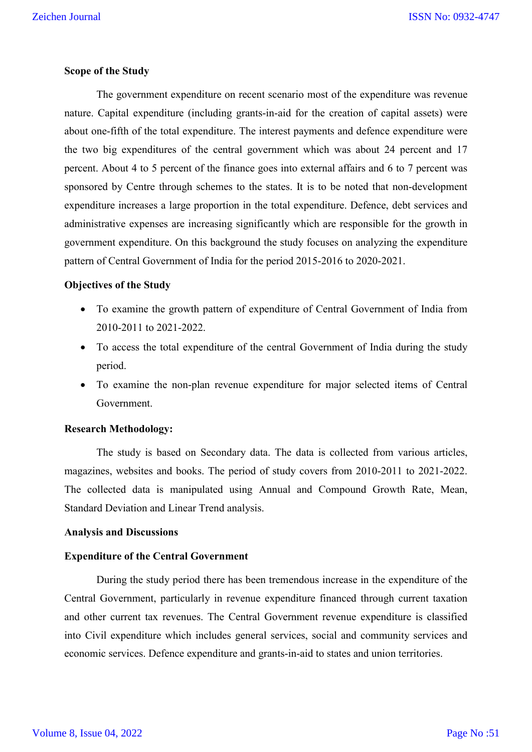#### **Scope of the Study**

The government expenditure on recent scenario most of the expenditure was revenue nature. Capital expenditure (including grants-in-aid for the creation of capital assets) were about one-fifth of the total expenditure. The interest payments and defence expenditure were the two big expenditures of the central government which was about 24 percent and 17 percent. About 4 to 5 percent of the finance goes into external affairs and 6 to 7 percent was sponsored by Centre through schemes to the states. It is to be noted that non-development expenditure increases a large proportion in the total expenditure. Defence, debt services and administrative expenses are increasing significantly which are responsible for the growth in government expenditure. On this background the study focuses on analyzing the expenditure pattern of Central Government of India for the period 2015-2016 to 2020-2021.

#### **Objectives of the Study**

- To examine the growth pattern of expenditure of Central Government of India from 2010-2011 to 2021-2022.
- To access the total expenditure of the central Government of India during the study period.
- To examine the non-plan revenue expenditure for major selected items of Central Government.

#### **Research Methodology:**

The study is based on Secondary data. The data is collected from various articles, magazines, websites and books. The period of study covers from 2010-2011 to 2021-2022. The collected data is manipulated using Annual and Compound Growth Rate, Mean, Standard Deviation and Linear Trend analysis.

### **Analysis and Discussions**

#### **Expenditure of the Central Government**

During the study period there has been tremendous increase in the expenditure of the Central Government, particularly in revenue expenditure financed through current taxation and other current tax revenues. The Central Government revenue expenditure is classified into Civil expenditure which includes general services, social and community services and economic services. Defence expenditure and grants-in-aid to states and union territories.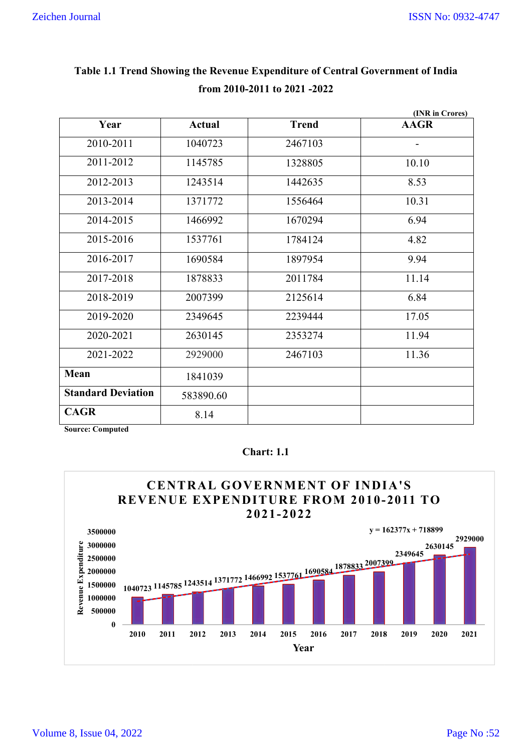|                           |               |              | (INR in Crores)          |
|---------------------------|---------------|--------------|--------------------------|
| Year                      | <b>Actual</b> | <b>Trend</b> | <b>AAGR</b>              |
| 2010-2011                 | 1040723       | 2467103      | $\overline{\phantom{a}}$ |
| 2011-2012                 | 1145785       | 1328805      | 10.10                    |
| 2012-2013                 | 1243514       | 1442635      | 8.53                     |
| 2013-2014                 | 1371772       | 1556464      | 10.31                    |
| 2014-2015                 | 1466992       | 1670294      | 6.94                     |
| 2015-2016                 | 1537761       | 1784124      | 4.82                     |
| 2016-2017                 | 1690584       | 1897954      | 9.94                     |
| 2017-2018                 | 1878833       | 2011784      | 11.14                    |
| 2018-2019                 | 2007399       | 2125614      | 6.84                     |
| 2019-2020                 | 2349645       | 2239444      | 17.05                    |
| 2020-2021                 | 2630145       | 2353274      | 11.94                    |
| 2021-2022                 | 2929000       | 2467103      | 11.36                    |
| Mean                      | 1841039       |              |                          |
| <b>Standard Deviation</b> | 583890.60     |              |                          |
| <b>CAGR</b><br>$\sqrt{ }$ | 8.14          |              |                          |

# **Table 1.1 Trend Showing the Revenue Expenditure of Central Government of India from 2010-2011 to 2021 -2022**

**Source: Computed**



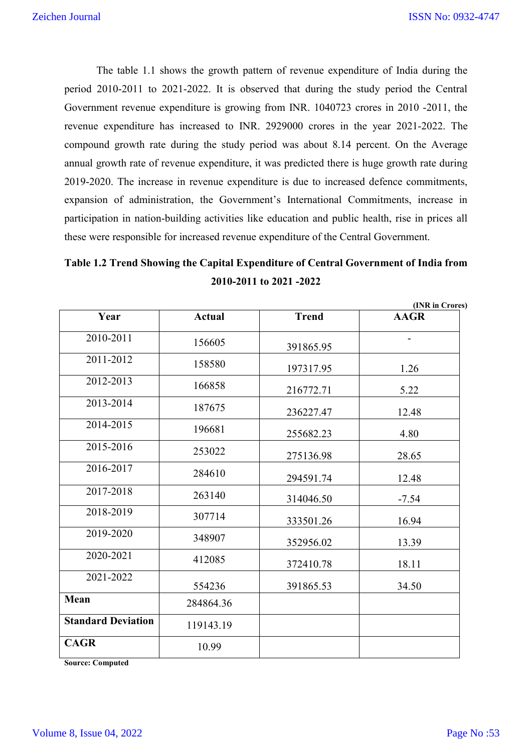The table 1.1 shows the growth pattern of revenue expenditure of India during the period 2010-2011 to 2021-2022. It is observed that during the study period the Central Government revenue expenditure is growing from INR. 1040723 crores in 2010 -2011, the revenue expenditure has increased to INR. 2929000 crores in the year 2021-2022. The compound growth rate during the study period was about 8.14 percent. On the Average annual growth rate of revenue expenditure, it was predicted there is huge growth rate during 2019-2020. The increase in revenue expenditure is due to increased defence commitments, expansion of administration, the Government's International Commitments, increase in participation in nation-building activities like education and public health, rise in prices all these were responsible for increased revenue expenditure of the Central Government.

# **Table 1.2 Trend Showing the Capital Expenditure of Central Government of India from 2010-2011 to 2021 -2022**

|                           | (INR in Crores) |              |             |
|---------------------------|-----------------|--------------|-------------|
| Year                      | <b>Actual</b>   | <b>Trend</b> | <b>AAGR</b> |
| 2010-2011                 | 156605          | 391865.95    |             |
| 2011-2012                 | 158580          | 197317.95    | 1.26        |
| 2012-2013                 | 166858          | 216772.71    | 5.22        |
| 2013-2014                 | 187675          | 236227.47    | 12.48       |
| 2014-2015                 | 196681          | 255682.23    | 4.80        |
| 2015-2016                 | 253022          | 275136.98    | 28.65       |
| 2016-2017                 | 284610          | 294591.74    | 12.48       |
| 2017-2018                 | 263140          | 314046.50    | $-7.54$     |
| 2018-2019                 | 307714          | 333501.26    | 16.94       |
| 2019-2020                 | 348907          | 352956.02    | 13.39       |
| 2020-2021                 | 412085          | 372410.78    | 18.11       |
| 2021-2022                 | 554236          | 391865.53    | 34.50       |
| Mean                      | 284864.36       |              |             |
| <b>Standard Deviation</b> | 119143.19       |              |             |
| <b>CAGR</b>               | 10.99           |              |             |

**Source: Computed**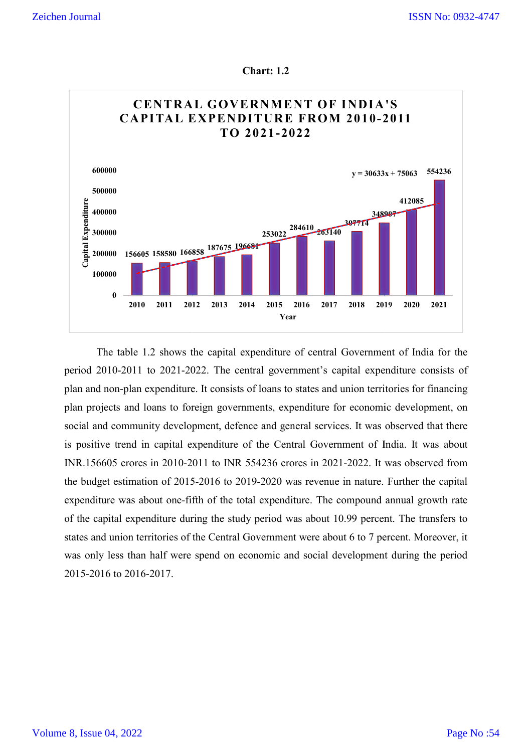



The table 1.2 shows the capital expenditure of central Government of India for the period 2010-2011 to 2021-2022. The central government's capital expenditure consists of plan and non-plan expenditure. It consists of loans to states and union territories f plan projects and loans to foreign governments, expenditure for economic development, on social and community development, defence and general services. It was observed that there is positive trend in capital expenditure of the Central Government of India. It was about INR.156605 crores in 2010-2011 to INR 554236 crores in 2021-2022. It was observed from the budget estimation of 2015 2015-2016 to 2019-2020 was revenue in nature. Further the capital expenditure was about one-fifth of the total expenditure. The compound annual growth rate of the capital expenditure during the study period was about 10.99 percent. The transfers to states and union territories of the Central Government were about 6 to 7 percent. Moreover, it was only less than half were spend on economic and social development during the period 2015-2016 to 2016-2017. 2011 to 2021-2022. The central government's capital expenditure consists of plan expenditure. It consists of loans to states and union territories for financing and loans to foreign governments, expenditure for economic de table 1.2 shows the capital expenditure of central Government of India for the<br>-2011 to 2021-2022. The central government's capital expenditure consists of<br>n-plan expenditure. It consists of loans to states and union terri and 20000<br>
and 20000 156608 188880 166888 187675 196669<br>
2010 2011 2012 2013 2014 2015 2016 2017 2018 2019 2020 2021<br>
2010 2011 12012 2021 2022 The central government's capital expenditure consists of<br>
2010-2011 to 2021-20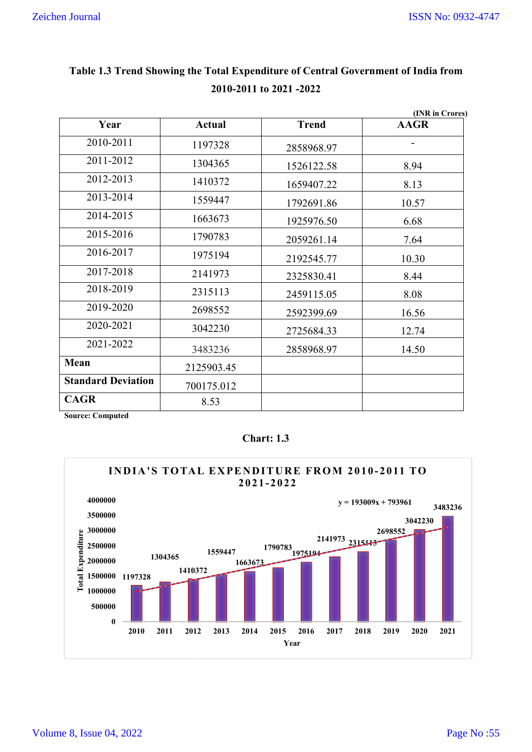| Table 1.3 Trend Showing the Total Expenditure of Central Government of India from<br>2010-2011 to 2021 -2022 |               |              |                 |  |  |
|--------------------------------------------------------------------------------------------------------------|---------------|--------------|-----------------|--|--|
|                                                                                                              |               |              | (INR in Crores) |  |  |
| Year                                                                                                         | <b>Actual</b> | <b>Trend</b> | <b>AAGR</b>     |  |  |
| 2010-2011                                                                                                    | 1197328       | 2858968.97   |                 |  |  |
| 2011-2012                                                                                                    | 1304365       | 1526122.58   | 8.94            |  |  |
| 2012-2013                                                                                                    | 1410372       | 1659407.22   | 8.13            |  |  |
| 2013-2014                                                                                                    | 1559447       | 1792691.86   | 10.57           |  |  |
| 2014-2015                                                                                                    | 1663673       | 1925976.50   | 6.68            |  |  |
| 2015-2016                                                                                                    | 1790783       | 2059261.14   | 7.64            |  |  |
| 2016-2017                                                                                                    | 1975194       | 2192545.77   | 10.30           |  |  |
| 2017-2018                                                                                                    | 2141973       | 2325830.41   | 8.44            |  |  |
| 2018-2019                                                                                                    | 2315113       | 2459115.05   | 8.08            |  |  |
| 2019-2020                                                                                                    | 2698552       | 2592399.69   | 16.56           |  |  |
| 2020-2021                                                                                                    | 3042230       | 2725684.33   | 12.74           |  |  |
| 2021-2022                                                                                                    | 3483236       | 2858968.97   | 14.50           |  |  |
| <b>Mean</b>                                                                                                  | 2125903.45    |              |                 |  |  |
| <b>Standard Deviation</b>                                                                                    | 700175.012    |              |                 |  |  |
| <b>CAGR</b>                                                                                                  | 8.53          |              |                 |  |  |

# **Table 1.3 Trend Showing the Total Expenditure of Central Government of India from 2010-2011 to 2021 -2022**

# **Chart: 1.3**